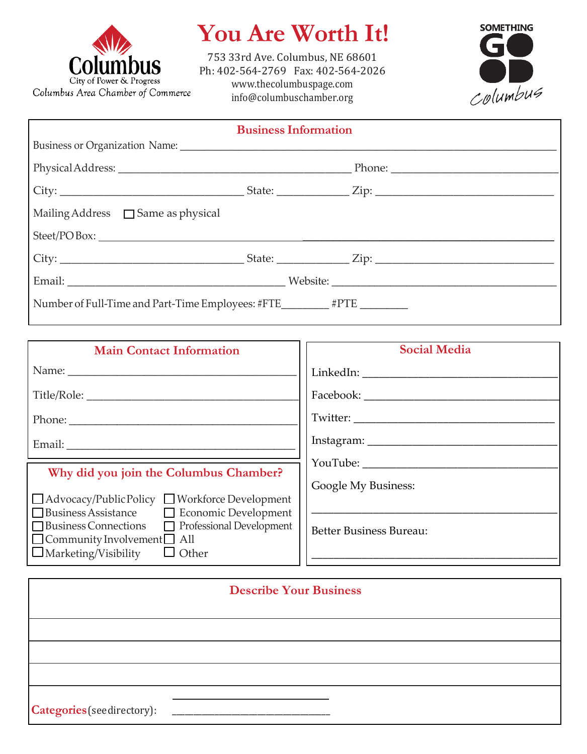

## **You Are Worth It!**

753 33rd Ave. Columbus, NE 68601 Ph: 402-564-2769 Fax: 402-564-2026 [www.thecolumbuspage.com](http://www.thecolumbuspage.com/) [info@columbuschamber.org](mailto:info@columbuschamber.org)



| <b>Business Information</b>                                             |  |  |  |  |  |
|-------------------------------------------------------------------------|--|--|--|--|--|
|                                                                         |  |  |  |  |  |
|                                                                         |  |  |  |  |  |
|                                                                         |  |  |  |  |  |
| $\Box$ Mailing Address $\Box$ Same as physical                          |  |  |  |  |  |
|                                                                         |  |  |  |  |  |
|                                                                         |  |  |  |  |  |
|                                                                         |  |  |  |  |  |
| Number of Full-Time and Part-Time Employees: #FTE________ #PTE ________ |  |  |  |  |  |

| <b>Social Media</b>            |
|--------------------------------|
|                                |
|                                |
|                                |
|                                |
|                                |
| Google My Business:            |
| <b>Better Business Bureau:</b> |
|                                |

| <b>Describe Your Business</b> |  |  |  |  |
|-------------------------------|--|--|--|--|
|                               |  |  |  |  |
|                               |  |  |  |  |
|                               |  |  |  |  |
|                               |  |  |  |  |
| Categories (see directory):   |  |  |  |  |